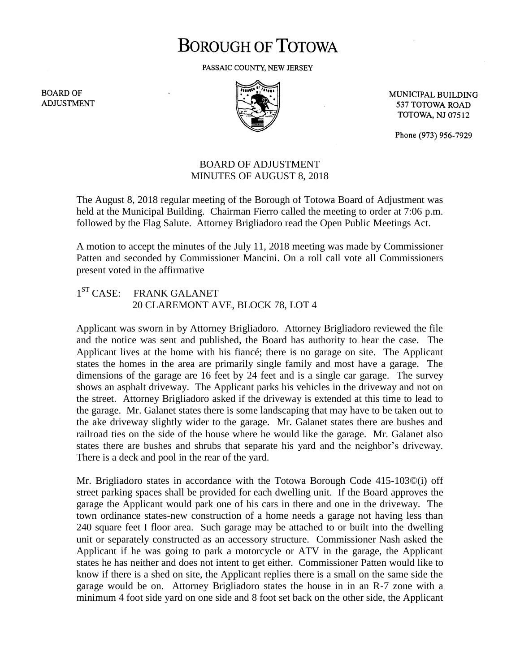## **BOROUGH OF TOTOWA**

PASSAIC COUNTY, NEW JERSEY

**BOARD OF ADJUSTMENT** 



MUNICIPAL BUILDING 537 TOTOWA ROAD **TOTOWA, NJ 07512** 

Phone (973) 956-7929

## BOARD OF ADJUSTMENT MINUTES OF AUGUST 8, 2018

The August 8, 2018 regular meeting of the Borough of Totowa Board of Adjustment was held at the Municipal Building. Chairman Fierro called the meeting to order at 7:06 p.m. followed by the Flag Salute. Attorney Brigliadoro read the Open Public Meetings Act.

A motion to accept the minutes of the July 11, 2018 meeting was made by Commissioner Patten and seconded by Commissioner Mancini. On a roll call vote all Commissioners present voted in the affirmative

## $1^{ST}$  CASE: FRANK GALANET 20 CLAREMONT AVE, BLOCK 78, LOT 4

Applicant was sworn in by Attorney Brigliadoro. Attorney Brigliadoro reviewed the file and the notice was sent and published, the Board has authority to hear the case. The Applicant lives at the home with his fiancé; there is no garage on site. The Applicant states the homes in the area are primarily single family and most have a garage. The dimensions of the garage are 16 feet by 24 feet and is a single car garage. The survey shows an asphalt driveway. The Applicant parks his vehicles in the driveway and not on the street. Attorney Brigliadoro asked if the driveway is extended at this time to lead to the garage. Mr. Galanet states there is some landscaping that may have to be taken out to the ake driveway slightly wider to the garage. Mr. Galanet states there are bushes and railroad ties on the side of the house where he would like the garage. Mr. Galanet also states there are bushes and shrubs that separate his yard and the neighbor's driveway. There is a deck and pool in the rear of the yard.

Mr. Brigliadoro states in accordance with the Totowa Borough Code 415-103©(i) off street parking spaces shall be provided for each dwelling unit. If the Board approves the garage the Applicant would park one of his cars in there and one in the driveway. The town ordinance states-new construction of a home needs a garage not having less than 240 square feet I floor area. Such garage may be attached to or built into the dwelling unit or separately constructed as an accessory structure. Commissioner Nash asked the Applicant if he was going to park a motorcycle or ATV in the garage, the Applicant states he has neither and does not intent to get either. Commissioner Patten would like to know if there is a shed on site, the Applicant replies there is a small on the same side the garage would be on. Attorney Brigliadoro states the house in in an R-7 zone with a minimum 4 foot side yard on one side and 8 foot set back on the other side, the Applicant